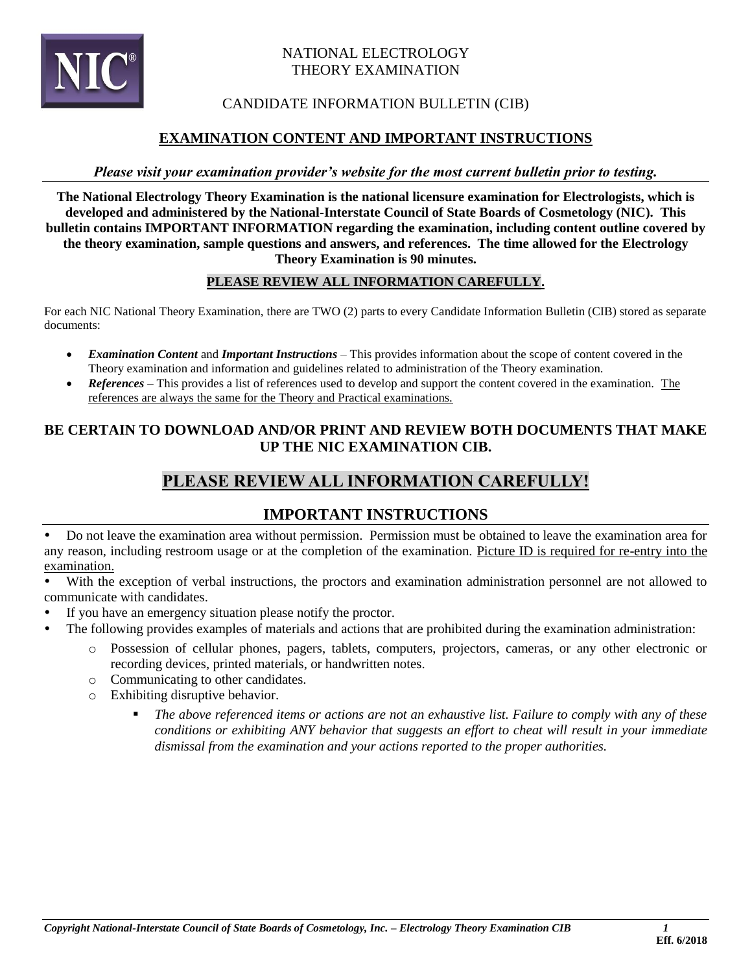

### NATIONAL ELECTROLOGY THEORY EXAMINATION

## CANDIDATE INFORMATION BULLETIN (CIB)

## **EXAMINATION CONTENT AND IMPORTANT INSTRUCTIONS**

### *Please visit your examination provider's website for the most current bulletin prior to testing.*

**The National Electrology Theory Examination is the national licensure examination for Electrologists, which is developed and administered by the National-Interstate Council of State Boards of Cosmetology (NIC). This bulletin contains IMPORTANT INFORMATION regarding the examination, including content outline covered by the theory examination, sample questions and answers, and references. The time allowed for the Electrology Theory Examination is 90 minutes.** 

### **PLEASE REVIEW ALL INFORMATION CAREFULLY.**

 For each NIC National Theory Examination, there are TWO (2) parts to every Candidate Information Bulletin (CIB) stored as separate documents:

- • *Examination Content* and *Important Instructions*  This provides information about the scope of content covered in the Theory examination and information and guidelines related to administration of the Theory examination.
- *References* This provides a list of references used to develop and support the content covered in the examination. The references are always the same for the Theory and Practical examinations.

## **BE CERTAIN TO DOWNLOAD AND/OR PRINT AND REVIEW BOTH DOCUMENTS THAT MAKE UP THE NIC EXAMINATION CIB.**

# **PLEASE REVIEW ALL INFORMATION CAREFULLY!**

## **IMPORTANT INSTRUCTIONS**

 Do not leave the examination area without permission. Permission must be obtained to leave the examination area for any reason, including restroom usage or at the completion of the examination. Picture ID is required for re-entry into the examination.

 With the exception of verbal instructions, the proctors and examination administration personnel are not allowed to communicate with candidates.

- If you have an emergency situation please notify the proctor.
- The following provides examples of materials and actions that are prohibited during the examination administration:
	- o Possession of cellular phones, pagers, tablets, computers, projectors, cameras, or any other electronic or recording devices, printed materials, or handwritten notes.
	- o Communicating to other candidates.
	- o Exhibiting disruptive behavior.
		- The above referenced items or actions are not an exhaustive list. Failure to comply with any of these  *conditions or exhibiting ANY behavior that suggests an effort to cheat will result in your immediate dismissal from the examination and your actions reported to the proper authorities.*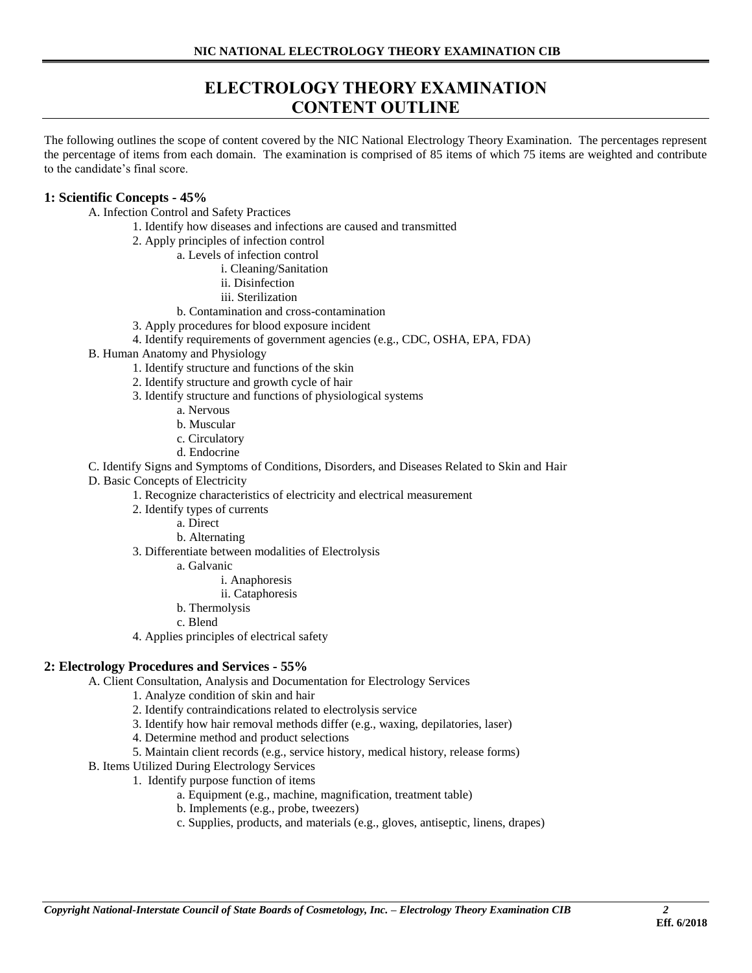# **ELECTROLOGY THEORY EXAMINATION CONTENT OUTLINE**

 The following outlines the scope of content covered by the NIC National Electrology Theory Examination. The percentages represent the percentage of items from each domain. The examination is comprised of 85 items of which 75 items are weighted and contribute to the candidate's final score.

#### **1: Scientific Concepts - 45%**

A. Infection Control and Safety Practices

- 1. Identify how diseases and infections are caused and transmitted
- 2. Apply principles of infection control
	- a. Levels of infection control
		- i. Cleaning/Sanitation
		- ii. Disinfection
		- iii. Sterilization
	- b. Contamination and cross-contamination
- 3. Apply procedures for blood exposure incident
- 4. Identify requirements of government agencies (e.g., CDC, OSHA, EPA, FDA)
- B. Human Anatomy and Physiology
	- 1. Identify structure and functions of the skin
	- 2. Identify structure and growth cycle of hair
	- 3. Identify structure and functions of physiological systems
		- a. Nervous
		- b. Muscular
		- c. Circulatory
		- d. Endocrine
- C. Identify Signs and Symptoms of Conditions, Disorders, and Diseases Related to Skin and Hair
- D. Basic Concepts of Electricity
	- 1. Recognize characteristics of electricity and electrical measurement
	- 2. Identify types of currents
		- a. Direct
		- b. Alternating
	- 3. Differentiate between modalities of Electrolysis
		- a. Galvanic
			- i. Anaphoresis
			- ii. Cataphoresis
		- b. Thermolysis
		- c. Blend
	- 4. Applies principles of electrical safety

#### **2: Electrology Procedures and Services - 55%**

A. Client Consultation, Analysis and Documentation for Electrology Services

- 1. Analyze condition of skin and hair
- 2. Identify contraindications related to electrolysis service
- 3. Identify how hair removal methods differ (e.g., waxing, depilatories, laser)
- 4. Determine method and product selections
- 5. Maintain client records (e.g., service history, medical history, release forms)
- B. Items Utilized During Electrology Services
	- 1. Identify purpose function of items
		- a. Equipment (e.g., machine, magnification, treatment table)
		- b. Implements (e.g., probe, tweezers)
		- c. Supplies, products, and materials (e.g., gloves, antiseptic, linens, drapes)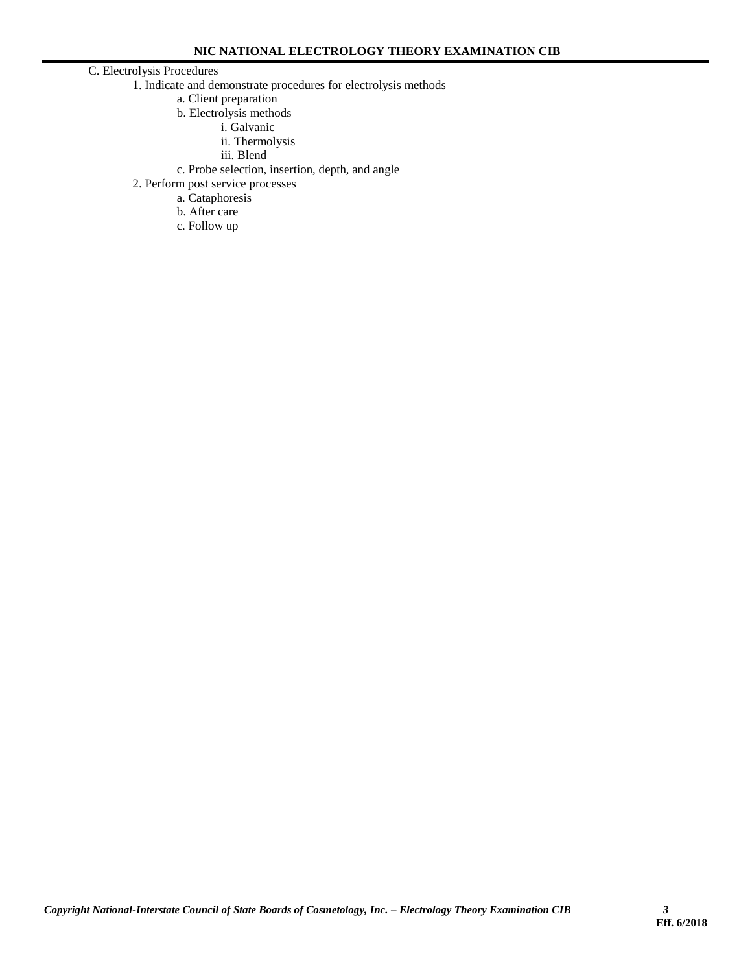#### C. Electrolysis Procedures

- 1. Indicate and demonstrate procedures for electrolysis methods
	- a. Client preparation
		- b. Electrolysis methods
			- i. Galvanic
			- ii. Thermolysis
			- iii. Blend
	- c. Probe selection, insertion, depth, and angle
- 2. Perform post service processes
	- a. Cataphoresis
		- b. After care
		- c. Follow up